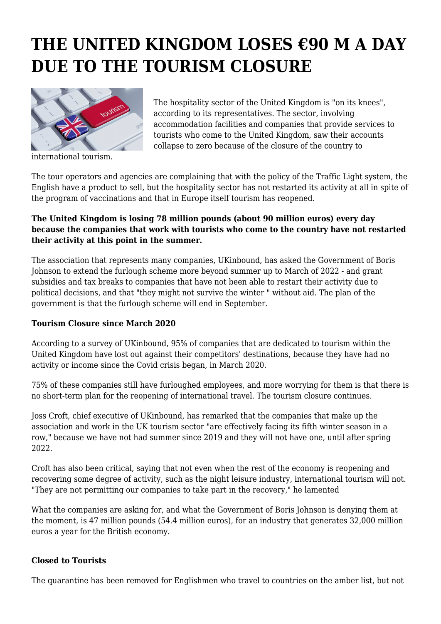# **THE UNITED KINGDOM LOSES €90 M A DAY DUE TO THE TOURISM CLOSURE**



international tourism.

The hospitality sector of the United Kingdom is "on its knees", according to its representatives. The sector, involving accommodation facilities and companies that provide services to tourists who come to the United Kingdom, saw their accounts collapse to zero because of the closure of the country to

The tour operators and agencies are complaining that with the policy of the Traffic Light system, the English have a product to sell, but the hospitality sector has not restarted its activity at all in spite of the program of vaccinations and that in Europe itself tourism has reopened.

#### **The United Kingdom is losing 78 million pounds (about 90 million euros) every day because the companies that work with tourists who come to the country have not restarted their activity at this point in the summer.**

The association that represents many companies, UKinbound, has asked the Government of Boris Johnson to extend the furlough scheme more beyond summer up to March of 2022 - and grant subsidies and tax breaks to companies that have not been able to restart their activity due to political decisions, and that "they might not survive the winter " without aid. The plan of the government is that the furlough scheme will end in September.

## **Tourism Closure since March 2020**

According to a survey of UKinbound, 95% of companies that are dedicated to tourism within the United Kingdom have lost out against their competitors' destinations, because they have had no activity or income since the Covid crisis began, in March 2020.

75% of these companies still have furloughed employees, and more worrying for them is that there is no short-term plan for the reopening of international travel. The tourism closure continues.

Joss Croft, chief executive of UKinbound, has remarked that the companies that make up the association and work in the UK tourism sector "are effectively facing its fifth winter season in a row," because we have not had summer since 2019 and they will not have one, until after spring 2022.

Croft has also been critical, saying that not even when the rest of the economy is reopening and recovering some degree of activity, such as the night leisure industry, international tourism will not. "They are not permitting our companies to take part in the recovery," he lamented

What the companies are asking for, and what the Government of Boris Johnson is denying them at the moment, is 47 million pounds (54.4 million euros), for an industry that generates 32,000 million euros a year for the British economy.

## **Closed to Tourists**

The quarantine has been removed for Englishmen who travel to countries on the amber list, but not